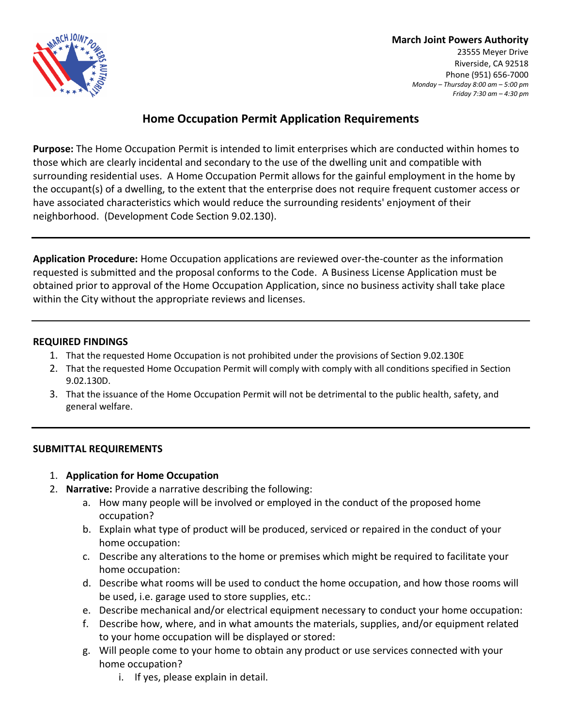

**March Joint Powers Authority** 23555 Meyer Drive Riverside, CA 92518 Phone (951) 656-7000

*Monday – Thursday 8:00 am – 5:00 pm Friday 7:30 am – 4:30 pm*

## **Home Occupation Permit Application Requirements**

**Purpose:** The Home Occupation Permit is intended to limit enterprises which are conducted within homes to those which are clearly incidental and secondary to the use of the dwelling unit and compatible with surrounding residential uses. A Home Occupation Permit allows for the gainful employment in the home by the occupant(s) of a dwelling, to the extent that the enterprise does not require frequent customer access or have associated characteristics which would reduce the surrounding residents' enjoyment of their neighborhood. (Development Code Section 9.02.130).

**Application Procedure:** Home Occupation applications are reviewed over-the-counter as the information requested is submitted and the proposal conforms to the Code. A Business License Application must be obtained prior to approval of the Home Occupation Application, since no business activity shall take place within the City without the appropriate reviews and licenses.

### **REQUIRED FINDINGS**

- 1. That the requested Home Occupation is not prohibited under the provisions of Section 9.02.130E
- 2. That the requested Home Occupation Permit will comply with comply with all conditions specified in Section 9.02.130D.
- 3. That the issuance of the Home Occupation Permit will not be detrimental to the public health, safety, and general welfare.

### **SUBMITTAL REQUIREMENTS**

- 1. **Application for Home Occupation**
- 2. **Narrative:** Provide a narrative describing the following:
	- a. How many people will be involved or employed in the conduct of the proposed home occupation?
	- b. Explain what type of product will be produced, serviced or repaired in the conduct of your home occupation:
	- c. Describe any alterations to the home or premises which might be required to facilitate your home occupation:
	- d. Describe what rooms will be used to conduct the home occupation, and how those rooms will be used, i.e. garage used to store supplies, etc.:
	- e. Describe mechanical and/or electrical equipment necessary to conduct your home occupation:
	- f. Describe how, where, and in what amounts the materials, supplies, and/or equipment related to your home occupation will be displayed or stored:
	- g. Will people come to your home to obtain any product or use services connected with your home occupation?
		- i. If yes, please explain in detail.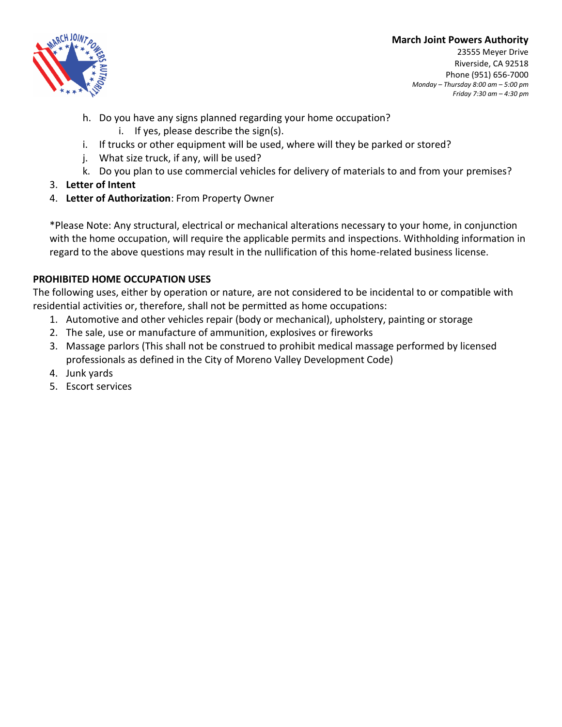### **March Joint Powers Authority**



23555 Meyer Drive Riverside, CA 92518 Phone (951) 656-7000 *Monday – Thursday 8:00 am – 5:00 pm Friday 7:30 am – 4:30 pm*

- h. Do you have any signs planned regarding your home occupation?
	- i. If yes, please describe the sign(s).
- i. If trucks or other equipment will be used, where will they be parked or stored?
- j. What size truck, if any, will be used?
- k. Do you plan to use commercial vehicles for delivery of materials to and from your premises?
- 3. **Letter of Intent**
- 4. **Letter of Authorization**: From Property Owner

\*Please Note: Any structural, electrical or mechanical alterations necessary to your home, in conjunction with the home occupation, will require the applicable permits and inspections. Withholding information in regard to the above questions may result in the nullification of this home-related business license.

## **PROHIBITED HOME OCCUPATION USES**

The following uses, either by operation or nature, are not considered to be incidental to or compatible with residential activities or, therefore, shall not be permitted as home occupations:

- 1. Automotive and other vehicles repair (body or mechanical), upholstery, painting or storage
- 2. The sale, use or manufacture of ammunition, explosives or fireworks
- 3. Massage parlors (This shall not be construed to prohibit medical massage performed by licensed professionals as defined in the City of Moreno Valley Development Code)
- 4. Junk yards
- 5. Escort services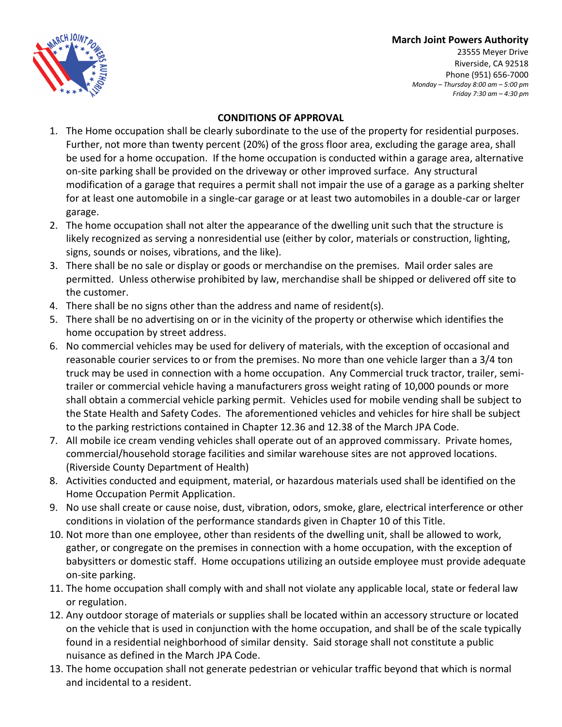### **March Joint Powers Authority**



23555 Meyer Drive Riverside, CA 92518 Phone (951) 656-7000 *Monday – Thursday 8:00 am – 5:00 pm Friday 7:30 am – 4:30 pm*

### **CONDITIONS OF APPROVAL**

- 1. The Home occupation shall be clearly subordinate to the use of the property for residential purposes. Further, not more than twenty percent (20%) of the gross floor area, excluding the garage area, shall be used for a home occupation. If the home occupation is conducted within a garage area, alternative on-site parking shall be provided on the driveway or other improved surface. Any structural modification of a garage that requires a permit shall not impair the use of a garage as a parking shelter for at least one automobile in a single-car garage or at least two automobiles in a double-car or larger garage.
- 2. The home occupation shall not alter the appearance of the dwelling unit such that the structure is likely recognized as serving a nonresidential use (either by color, materials or construction, lighting, signs, sounds or noises, vibrations, and the like).
- 3. There shall be no sale or display or goods or merchandise on the premises. Mail order sales are permitted. Unless otherwise prohibited by law, merchandise shall be shipped or delivered off site to the customer.
- 4. There shall be no signs other than the address and name of resident(s).
- 5. There shall be no advertising on or in the vicinity of the property or otherwise which identifies the home occupation by street address.
- 6. No commercial vehicles may be used for delivery of materials, with the exception of occasional and reasonable courier services to or from the premises. No more than one vehicle larger than a 3/4 ton truck may be used in connection with a home occupation. Any Commercial truck tractor, trailer, semitrailer or commercial vehicle having a manufacturers gross weight rating of 10,000 pounds or more shall obtain a commercial vehicle parking permit. Vehicles used for mobile vending shall be subject to the State Health and Safety Codes. The aforementioned vehicles and vehicles for hire shall be subject to the parking restrictions contained in Chapter 12.36 and 12.38 of the March JPA Code.
- 7. All mobile ice cream vending vehicles shall operate out of an approved commissary. Private homes, commercial/household storage facilities and similar warehouse sites are not approved locations. (Riverside County Department of Health)
- 8. Activities conducted and equipment, material, or hazardous materials used shall be identified on the Home Occupation Permit Application.
- 9. No use shall create or cause noise, dust, vibration, odors, smoke, glare, electrical interference or other conditions in violation of the performance standards given in Chapter 10 of this Title.
- 10. Not more than one employee, other than residents of the dwelling unit, shall be allowed to work, gather, or congregate on the premises in connection with a home occupation, with the exception of babysitters or domestic staff. Home occupations utilizing an outside employee must provide adequate on-site parking.
- 11. The home occupation shall comply with and shall not violate any applicable local, state or federal law or regulation.
- 12. Any outdoor storage of materials or supplies shall be located within an accessory structure or located on the vehicle that is used in conjunction with the home occupation, and shall be of the scale typically found in a residential neighborhood of similar density. Said storage shall not constitute a public nuisance as defined in the March JPA Code.
- 13. The home occupation shall not generate pedestrian or vehicular traffic beyond that which is normal and incidental to a resident.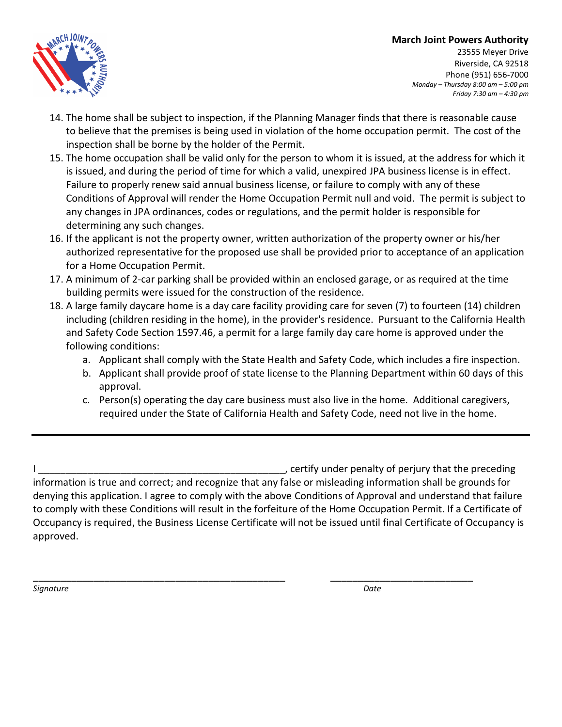### **March Joint Powers Authority**



23555 Meyer Drive Riverside, CA 92518 Phone (951) 656-7000 *Monday – Thursday 8:00 am – 5:00 pm Friday 7:30 am – 4:30 pm*

- 14. The home shall be subject to inspection, if the Planning Manager finds that there is reasonable cause to believe that the premises is being used in violation of the home occupation permit. The cost of the inspection shall be borne by the holder of the Permit.
- 15. The home occupation shall be valid only for the person to whom it is issued, at the address for which it is issued, and during the period of time for which a valid, unexpired JPA business license is in effect. Failure to properly renew said annual business license, or failure to comply with any of these Conditions of Approval will render the Home Occupation Permit null and void. The permit is subject to any changes in JPA ordinances, codes or regulations, and the permit holder is responsible for determining any such changes.
- 16. If the applicant is not the property owner, written authorization of the property owner or his/her authorized representative for the proposed use shall be provided prior to acceptance of an application for a Home Occupation Permit.
- 17. A minimum of 2-car parking shall be provided within an enclosed garage, or as required at the time building permits were issued for the construction of the residence.
- 18. A large family daycare home is a day care facility providing care for seven (7) to fourteen (14) children including (children residing in the home), in the provider's residence. Pursuant to the California Health and Safety Code Section 1597.46, a permit for a large family day care home is approved under the following conditions:
	- a. Applicant shall comply with the State Health and Safety Code, which includes a fire inspection.
	- b. Applicant shall provide proof of state license to the Planning Department within 60 days of this approval.
	- c. Person(s) operating the day care business must also live in the home. Additional caregivers, required under the State of California Health and Safety Code, need not live in the home.

I discussed in the preceding  $\sim$  pertify under penalty of perjury that the preceding information is true and correct; and recognize that any false or misleading information shall be grounds for denying this application. I agree to comply with the above Conditions of Approval and understand that failure to comply with these Conditions will result in the forfeiture of the Home Occupation Permit. If a Certificate of Occupancy is required, the Business License Certificate will not be issued until final Certificate of Occupancy is approved.

\_\_\_\_\_\_\_\_\_\_\_\_\_\_\_\_\_\_\_\_\_\_\_\_\_\_\_\_\_\_\_\_\_\_\_\_\_\_\_\_\_\_\_\_\_\_ \_\_\_\_\_\_\_\_\_\_\_\_\_\_\_\_\_\_\_\_\_\_\_\_\_\_ *Signature Date*